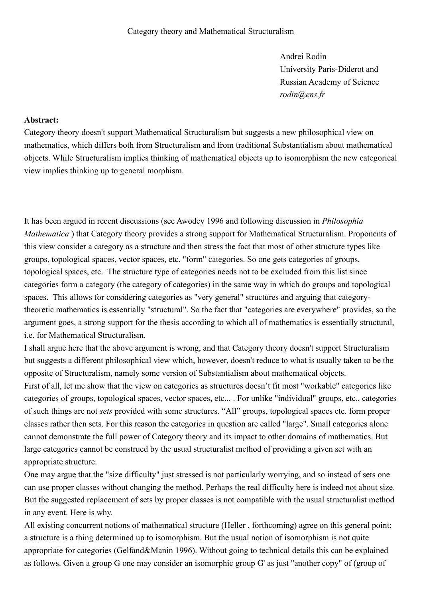Andrei Rodin University Paris-Diderot and Russian Academy of Science *rodin@ens.fr*

## **Abstract:**

Category theory doesn't support Mathematical Structuralism but suggests a new philosophical view on mathematics, which differs both from Structuralism and from traditional Substantialism about mathematical objects. While Structuralism implies thinking of mathematical objects up to isomorphism the new categorical view implies thinking up to general morphism.

It has been argued in recent discussions (see Awodey 1996 and following discussion in *Philosophia Mathematica* ) that Category theory provides a strong support for Mathematical Structuralism. Proponents of this view consider a category as a structure and then stress the fact that most of other structure types like groups, topological spaces, vector spaces, etc. "form" categories. So one gets categories of groups, topological spaces, etc. The structure type of categories needs not to be excluded from this list since categories form a category (the category of categories) in the same way in which do groups and topological spaces. This allows for considering categories as "very general" structures and arguing that categorytheoretic mathematics is essentially "structural". So the fact that "categories are everywhere" provides, so the argument goes, a strong support for the thesis according to which all of mathematics is essentially structural, i.e. for Mathematical Structuralism.

I shall argue here that the above argument is wrong, and that Category theory doesn't support Structuralism but suggests a different philosophical view which, however, doesn't reduce to what is usually taken to be the opposite of Structuralism, namely some version of Substantialism about mathematical objects.

First of all, let me show that the view on categories as structures doesn't fit most "workable" categories like categories of groups, topological spaces, vector spaces, etc... . For unlike "individual" groups, etc., categories of such things are not *sets* provided with some structures. "All" groups, topological spaces etc. form proper classes rather then sets. For this reason the categories in question are called "large". Small categories alone cannot demonstrate the full power of Category theory and its impact to other domains of mathematics. But large categories cannot be construed by the usual structuralist method of providing a given set with an appropriate structure.

One may argue that the "size difficulty" just stressed is not particularly worrying, and so instead of sets one can use proper classes without changing the method. Perhaps the real difficulty here is indeed not about size. But the suggested replacement of sets by proper classes is not compatible with the usual structuralist method in any event. Here is why.

All existing concurrent notions of mathematical structure (Heller , forthcoming) agree on this general point: a structure is a thing determined up to isomorphism. But the usual notion of isomorphism is not quite appropriate for categories (Gelfand&Manin 1996). Without going to technical details this can be explained as follows. Given a group G one may consider an isomorphic group G' as just "another copy" of (group of